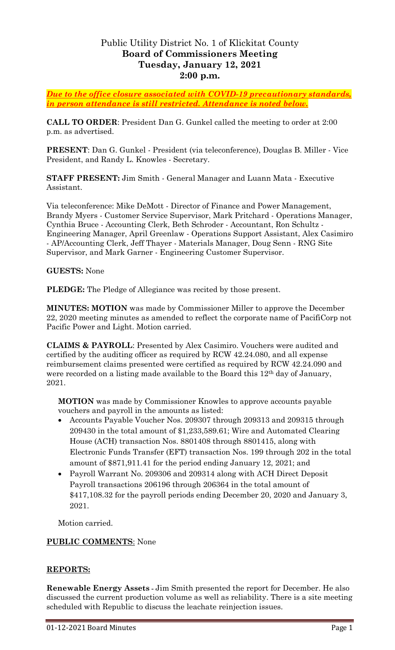# Public Utility District No. 1 of Klickitat County **Board of Commissioners Meeting Tuesday, January 12, 2021 2:00 p.m.**

*Due to the office closure associated with COVID-19 precautionary standards, in person attendance is still restricted. Attendance is noted below.*

**CALL TO ORDER**: President Dan G. Gunkel called the meeting to order at 2:00 p.m. as advertised.

**PRESENT**: Dan G. Gunkel - President (via teleconference), Douglas B. Miller - Vice President, and Randy L. Knowles - Secretary.

**STAFF PRESENT:** Jim Smith - General Manager and Luann Mata - Executive Assistant.

Via teleconference: Mike DeMott - Director of Finance and Power Management, Brandy Myers - Customer Service Supervisor, Mark Pritchard - Operations Manager, Cynthia Bruce - Accounting Clerk, Beth Schroder - Accountant, Ron Schultz - Engineering Manager, April Greenlaw - Operations Support Assistant, Alex Casimiro - AP/Accounting Clerk, Jeff Thayer - Materials Manager, Doug Senn - RNG Site Supervisor, and Mark Garner - Engineering Customer Supervisor.

### **GUESTS:** None

**PLEDGE:** The Pledge of Allegiance was recited by those present.

**MINUTES: MOTION** was made by Commissioner Miller to approve the December 22, 2020 meeting minutes as amended to reflect the corporate name of PacifiCorp not Pacific Power and Light. Motion carried.

**CLAIMS & PAYROLL**: Presented by Alex Casimiro. Vouchers were audited and certified by the auditing officer as required by RCW 42.24.080, and all expense reimbursement claims presented were certified as required by RCW 42.24.090 and were recorded on a listing made available to the Board this 12<sup>th</sup> day of January, 2021.

**MOTION** was made by Commissioner Knowles to approve accounts payable vouchers and payroll in the amounts as listed:

- Accounts Payable Voucher Nos. 209307 through 209313 and 209315 through 209430 in the total amount of \$1,233,589.61; Wire and Automated Clearing House (ACH) transaction Nos. 8801408 through 8801415, along with Electronic Funds Transfer (EFT) transaction Nos. 199 through 202 in the total amount of \$871,911.41 for the period ending January 12, 2021; and
- Payroll Warrant No. 209306 and 209314 along with ACH Direct Deposit Payroll transactions 206196 through 206364 in the total amount of \$417,108.32 for the payroll periods ending December 20, 2020 and January 3, 2021.

Motion carried.

## **PUBLIC COMMENTS**: None

## **REPORTS:**

**Renewable Energy Assets -** Jim Smith presented the report for December. He also discussed the current production volume as well as reliability. There is a site meeting scheduled with Republic to discuss the leachate reinjection issues.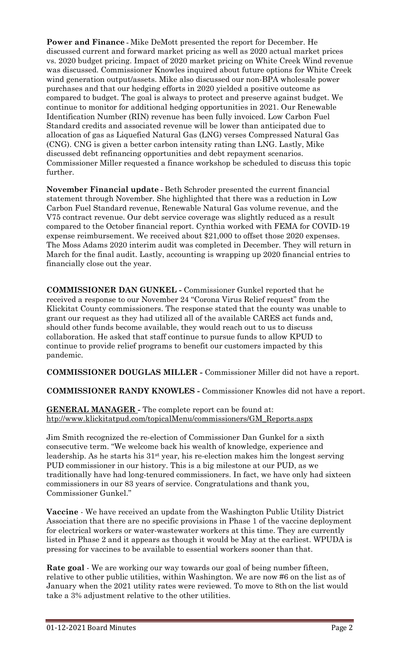**Power and Finance -** Mike DeMott presented the report for December. He discussed current and forward market pricing as well as 2020 actual market prices vs. 2020 budget pricing. Impact of 2020 market pricing on White Creek Wind revenue was discussed. Commissioner Knowles inquired about future options for White Creek wind generation output/assets. Mike also discussed our non-BPA wholesale power purchases and that our hedging efforts in 2020 yielded a positive outcome as compared to budget. The goal is always to protect and preserve against budget. We continue to monitor for additional hedging opportunities in 2021. Our Renewable Identification Number (RIN) revenue has been fully invoiced. Low Carbon Fuel Standard credits and associated revenue will be lower than anticipated due to allocation of gas as Liquefied Natural Gas (LNG) verses Compressed Natural Gas (CNG). CNG is given a better carbon intensity rating than LNG. Lastly, Mike discussed debt refinancing opportunities and debt repayment scenarios. Commissioner Miller requested a finance workshop be scheduled to discuss this topic further.

**November Financial update -** Beth Schroder presented the current financial statement through November. She highlighted that there was a reduction in Low Carbon Fuel Standard revenue, Renewable Natural Gas volume revenue, and the V75 contract revenue. Our debt service coverage was slightly reduced as a result compared to the October financial report. Cynthia worked with FEMA for COVID-19 expense reimbursement. We received about \$21,000 to offset those 2020 expenses. The Moss Adams 2020 interim audit was completed in December. They will return in March for the final audit. Lastly, accounting is wrapping up 2020 financial entries to financially close out the year.

**COMMISSIONER DAN GUNKEL -** Commissioner Gunkel reported that he received a response to our November 24 "Corona Virus Relief request" from the Klickitat County commissioners. The response stated that the county was unable to grant our request as they had utilized all of the available CARES act funds and, should other funds become available, they would reach out to us to discuss collaboration. He asked that staff continue to pursue funds to allow KPUD to continue to provide relief programs to benefit our customers impacted by this pandemic.

**COMMISSIONER DOUGLAS MILLER -** Commissioner Miller did not have a report.

**COMMISSIONER RANDY KNOWLES -** Commissioner Knowles did not have a report.

**GENERAL MANAGER -** The complete report can be found at: [htp://www.klickitatpud.com/topicalMenu/commissioners/GM\\_Reports.aspx](http://www.klickitatpud.com/topicalMenu/commissioners/GM_Reports.aspx)

Jim Smith recognized the re-election of Commissioner Dan Gunkel for a sixth consecutive term. "We welcome back his wealth of knowledge, experience and leadership. As he starts his 31st year, his re-election makes him the longest serving PUD commissioner in our history. This is a big milestone at our PUD, as we traditionally have had long-tenured commissioners. In fact, we have only had sixteen commissioners in our 83 years of service. Congratulations and thank you, Commissioner Gunkel."

**Vaccine** - We have received an update from the Washington Public Utility District Association that there are no specific provisions in Phase 1 of the vaccine deployment for electrical workers or water-wastewater workers at this time. They are currently listed in Phase 2 and it appears as though it would be May at the earliest. WPUDA is pressing for vaccines to be available to essential workers sooner than that.

**Rate goal** - We are working our way towards our goal of being number fifteen, relative to other public utilities, within Washington. We are now #6 on the list as of January when the 2021 utility rates were reviewed. To move to 8th on the list would take a 3% adjustment relative to the other utilities.